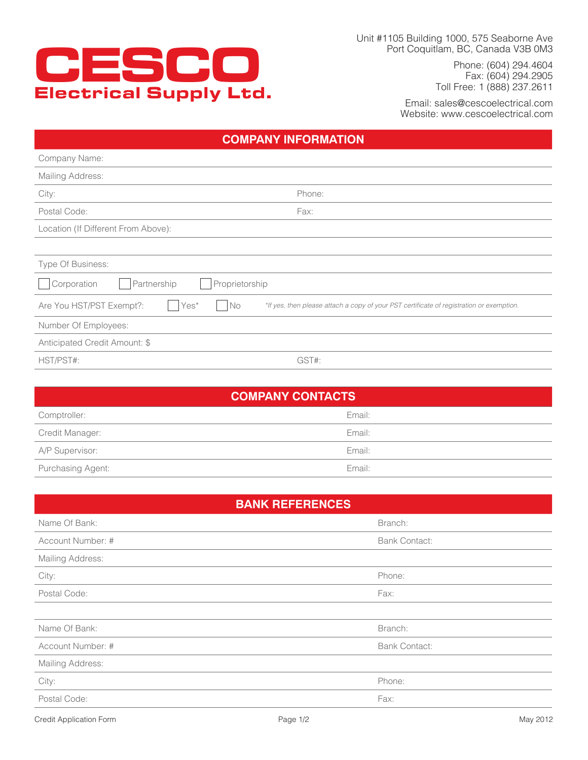

Unit #1105 Building 1000, 575 Seaborne Ave Port Coquitlam, BC, Canada V3B 0M3

> Phone: (604) 294.4604 Fax: (604) 294.2905 Toll Free: 1 (888) 237.2611

Email: sales@cescoelectrical.com Website: www.cescoelectrical.com

## **COMPANY INFORMATION**

| Company Name:                                      |                                                                                          |
|----------------------------------------------------|------------------------------------------------------------------------------------------|
| Mailing Address:                                   |                                                                                          |
| City:<br>Phone:                                    |                                                                                          |
| Postal Code:<br>Fax:                               |                                                                                          |
| Location (If Different From Above):                |                                                                                          |
|                                                    |                                                                                          |
| Type Of Business:                                  |                                                                                          |
| Proprietorship<br>Corporation<br>Partnership       |                                                                                          |
| Yes*<br>N <sub>O</sub><br>Are You HST/PST Exempt?: | *If yes, then please attach a copy of your PST certificate of registration or exemption. |
| Number Of Employees:                               |                                                                                          |
| Anticipated Credit Amount: \$                      |                                                                                          |
| HST/PST#:<br>GST#:                                 |                                                                                          |

| <b>COMPANY CONTACTS</b> |        |  |  |
|-------------------------|--------|--|--|
| Comptroller:            | Email: |  |  |
| Credit Manager:         | Email: |  |  |
| A/P Supervisor:         | Email: |  |  |
| Purchasing Agent:       | Email: |  |  |

| <b>BANK REFERENCES</b> |                      |  |  |  |
|------------------------|----------------------|--|--|--|
| Name Of Bank:          | Branch:              |  |  |  |
| Account Number: #      | <b>Bank Contact:</b> |  |  |  |
| Mailing Address:       |                      |  |  |  |
| City:                  | Phone:               |  |  |  |
| Postal Code:           | Fax:                 |  |  |  |
|                        |                      |  |  |  |
| Name Of Bank:          | Branch:              |  |  |  |
| Account Number: #      | <b>Bank Contact:</b> |  |  |  |
| Mailing Address:       |                      |  |  |  |
| City:                  | Phone:               |  |  |  |
| Postal Code:           | Fax:                 |  |  |  |
|                        |                      |  |  |  |